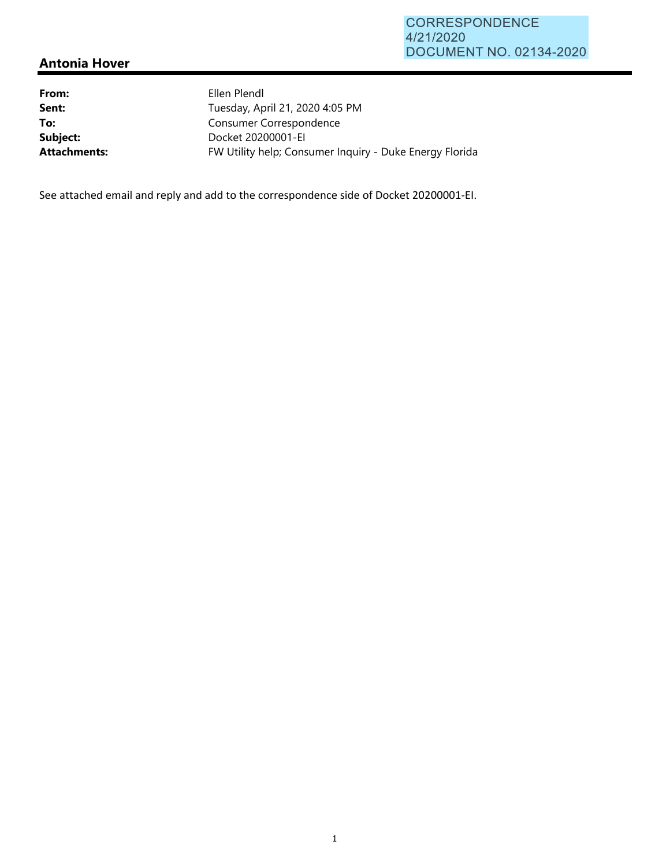## **Antonia Hover**

| Ellen Plendl                                            |
|---------------------------------------------------------|
| Tuesday, April 21, 2020 4:05 PM                         |
| Consumer Correspondence                                 |
| Docket 20200001-EI                                      |
| FW Utility help; Consumer Inquiry - Duke Energy Florida |
|                                                         |

See attached email and reply and add to the correspondence side of Docket 20200001‐EI.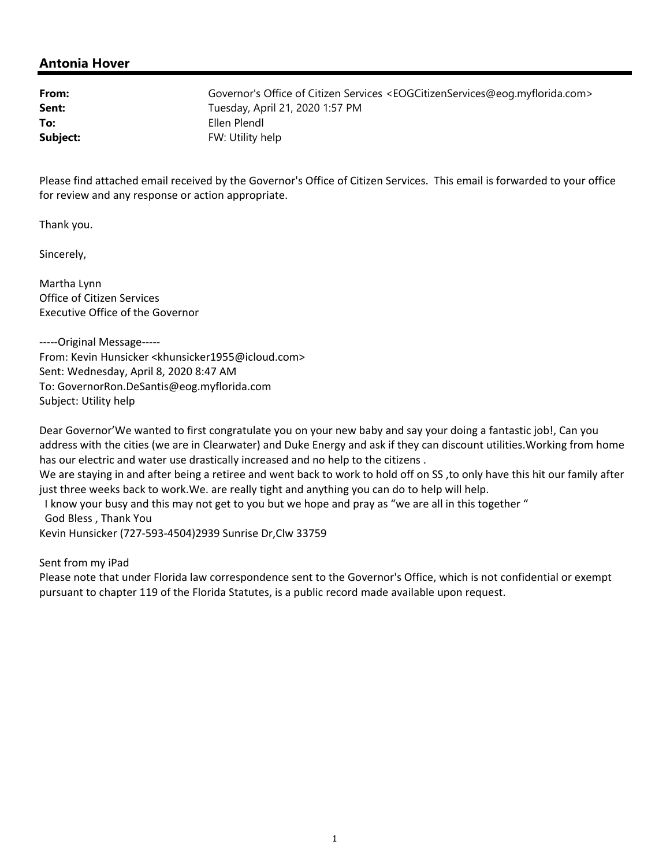## **Antonia Hover**

**From:** Governor's Office of Citizen Services <EOGCitizenServices@eog.myflorida.com> **Sent:** Tuesday, April 21, 2020 1:57 PM **To:** Ellen Plendl **Subject:** FW: Utility help

Please find attached email received by the Governor's Office of Citizen Services. This email is forwarded to your office for review and any response or action appropriate.

Thank you.

Sincerely,

Martha Lynn Office of Citizen Services Executive Office of the Governor

‐‐‐‐‐Original Message‐‐‐‐‐ From: Kevin Hunsicker <khunsicker1955@icloud.com> Sent: Wednesday, April 8, 2020 8:47 AM To: GovernorRon.DeSantis@eog.myflorida.com Subject: Utility help

Dear Governor'We wanted to first congratulate you on your new baby and say your doing a fantastic job!, Can you address with the cities (we are in Clearwater) and Duke Energy and ask if they can discount utilities.Working from home has our electric and water use drastically increased and no help to the citizens .

We are staying in and after being a retiree and went back to work to hold off on SS ,to only have this hit our family after just three weeks back to work.We. are really tight and anything you can do to help will help.

 I know your busy and this may not get to you but we hope and pray as "we are all in this together " God Bless , Thank You

Kevin Hunsicker (727‐593‐4504)2939 Sunrise Dr,Clw 33759

Sent from my iPad

Please note that under Florida law correspondence sent to the Governor's Office, which is not confidential or exempt pursuant to chapter 119 of the Florida Statutes, is a public record made available upon request.